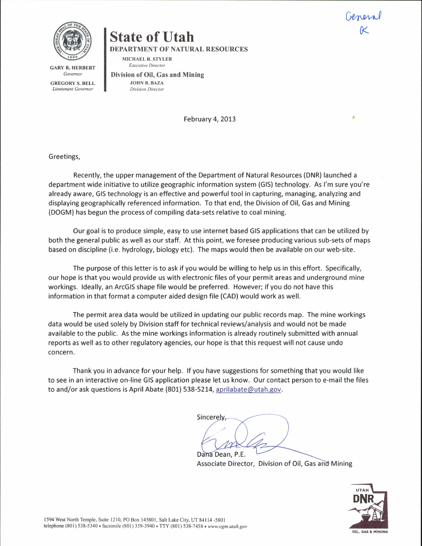**GARY R. HERBERT** Governor

GREGORY S. BELL Lieutenant Govemor

## State of Utah

DEPARTMENT OF NATURAL RESOURCES

MICHAEL R. STYLER Executive Director

Division of Oil, Gas and Mining JOHN R. BAZA Division Director

February 4, 2013

## Greetings,

Recently, the upper management of the Department of Natural Resources (DNR) launched a department wide initiative to utilize geographic information system (G15) technology. As l'm sure you're already aware, G15 technology is an effective and powerful tool in capturing, managing, analyzing and displaying geographically referenced information. To that end, the Division of Oil, Gas and Mining (DOGM) has begun the process of compiling data-sets relative to coal mining.

Our goal is to produce simple, easy to use internet based GIS applications that can be utilized by both the general public as well as our staff. At this point, we foresee producing various sub-sets of maps based on discipline (i.e. hydrology, biology etc). The maps would then be available on our web-site.

The purpose of this letter is to ask if you would be willing to help us in this effort. Specifically, our hope is that you would provide us with electronic files of your permit areas and underground mine workings. ldeally, an ArcGlS shape file would be preferred. However; if you do not have this information in that format a computer aided design file (CAD) would work as well.

The permit area data would be utilized in updating our public records map. The mine workings data would be used solely by Division staff for technical reviews/analysis and would not be made available to the public. As the mine workings information is already routinely submitted with annual reports as well as to other regulatory agencies, our hope is that this request will not cause undo concern.

Thank you in advance for your help. lf you have suggestions for something that you would like to see in an interactive on-line GIS application please let us know. Our contact person to e-mail the files to and/or ask questions is April Abate (801) 538-5214, aprilabate@utah.gov.

Sincerely Dana Dean, P.E.

Associate Director, Division of Oil, Gas and Mining



General K

g,